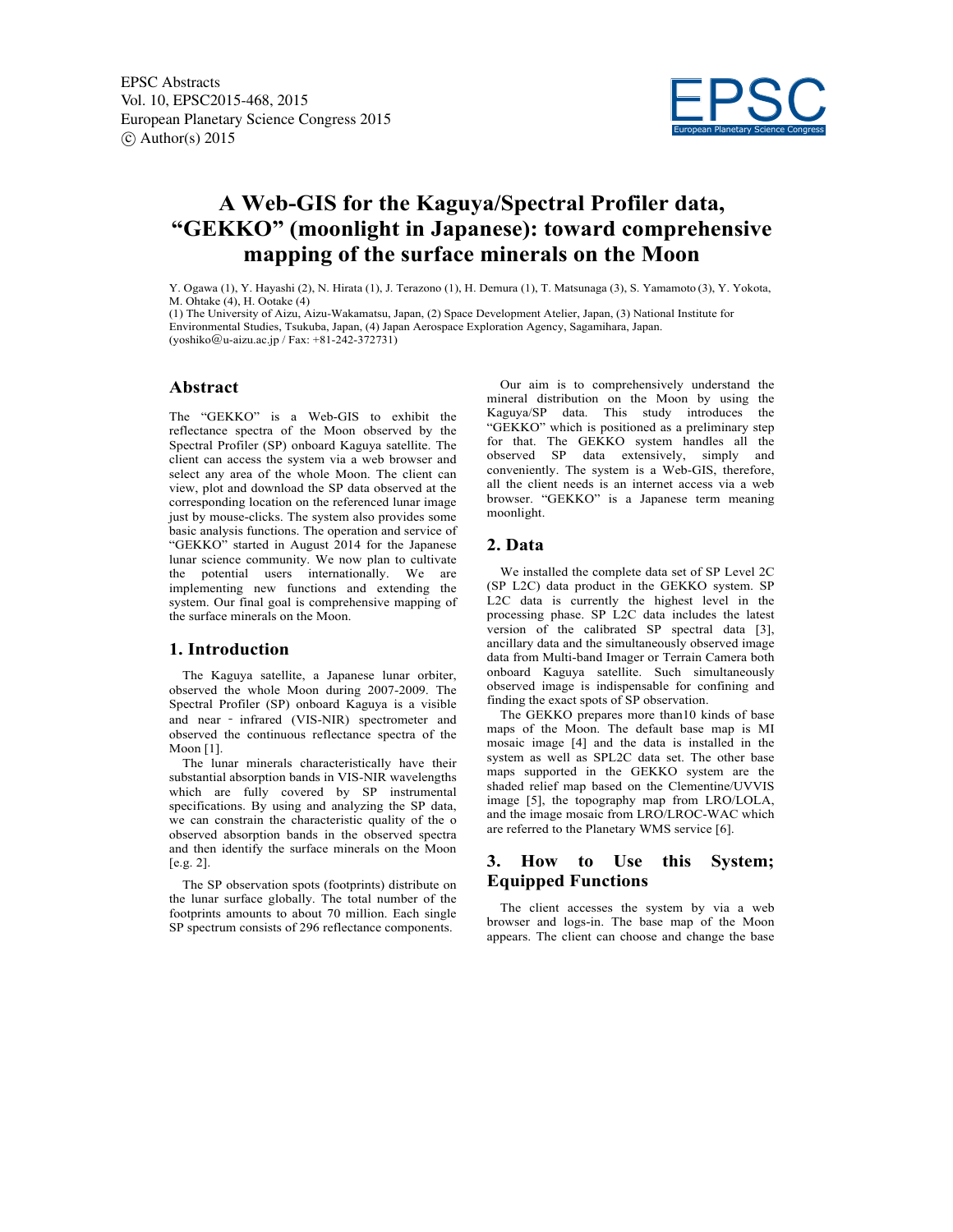

# **A Web-GIS for the Kaguya/Spectral Profiler data, "GEKKO" (moonlight in Japanese): toward comprehensive mapping of the surface minerals on the Moon**

Y. Ogawa (1), Y. Hayashi (2), N. Hirata (1), J. Terazono (1), H. Demura (1), T. Matsunaga (3), S. Yamamoto (3), Y. Yokota, M. Ohtake (4), H. Ootake (4)

(1) The University of Aizu, Aizu-Wakamatsu, Japan, (2) Space Development Atelier, Japan, (3) National Institute for Environmental Studies, Tsukuba, Japan, (4) Japan Aerospace Exploration Agency, Sagamihara, Japan. (yoshiko@u-aizu.ac.jp / Fax: +81-242-372731)

## **Abstract**

The "GEKKO" is a Web-GIS to exhibit the reflectance spectra of the Moon observed by the Spectral Profiler (SP) onboard Kaguya satellite. The client can access the system via a web browser and select any area of the whole Moon. The client can view, plot and download the SP data observed at the corresponding location on the referenced lunar image just by mouse-clicks. The system also provides some basic analysis functions. The operation and service of "GEKKO" started in August 2014 for the Japanese lunar science community. We now plan to cultivate the potential users internationally. We are implementing new functions and extending the system. Our final goal is comprehensive mapping of the surface minerals on the Moon.

## **1. Introduction**

 The Kaguya satellite, a Japanese lunar orbiter, observed the whole Moon during 2007-2009. The Spectral Profiler (SP) onboard Kaguya is a visible and near ‐ infrared (VIS-NIR) spectrometer and observed the continuous reflectance spectra of the Moon [1].

 The lunar minerals characteristically have their substantial absorption bands in VIS-NIR wavelengths which are fully covered by SP instrumental specifications. By using and analyzing the SP data, we can constrain the characteristic quality of the o observed absorption bands in the observed spectra and then identify the surface minerals on the Moon [e.g. 2].

 The SP observation spots (footprints) distribute on the lunar surface globally. The total number of the footprints amounts to about 70 million. Each single SP spectrum consists of 296 reflectance components.

 Our aim is to comprehensively understand the mineral distribution on the Moon by using the Kaguya/SP data. This study introduces the "GEKKO" which is positioned as a preliminary step for that. The GEKKO system handles all the observed SP data extensively, simply and conveniently. The system is a Web-GIS, therefore, all the client needs is an internet access via a web browser. "GEKKO" is a Japanese term meaning moonlight.

## **2. Data**

 We installed the complete data set of SP Level 2C (SP L2C) data product in the GEKKO system. SP L2C data is currently the highest level in the processing phase. SP L2C data includes the latest version of the calibrated SP spectral data [3], ancillary data and the simultaneously observed image data from Multi-band Imager or Terrain Camera both onboard Kaguya satellite. Such simultaneously observed image is indispensable for confining and finding the exact spots of SP observation.

 The GEKKO prepares more than10 kinds of base maps of the Moon. The default base map is MI mosaic image [4] and the data is installed in the system as well as SPL2C data set. The other base maps supported in the GEKKO system are the shaded relief map based on the Clementine/UVVIS image [5], the topography map from LRO/LOLA, and the image mosaic from LRO/LROC-WAC which are referred to the Planetary WMS service [6].

# **3. How to Use this System; Equipped Functions**

 The client accesses the system by via a web browser and logs-in. The base map of the Moon appears. The client can choose and change the base